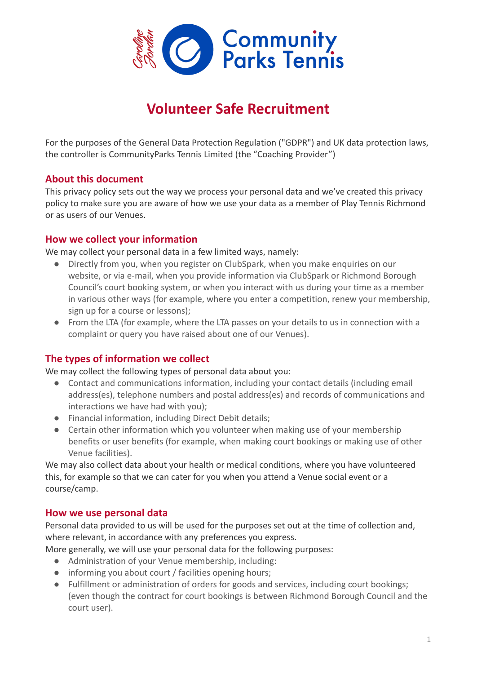

# **Volunteer Safe Recruitment**

For the purposes of the General Data Protection Regulation ("GDPR") and UK data protection laws, the controller is CommunityParks Tennis Limited (the "Coaching Provider")

## **About this document**

This privacy policy sets out the way we process your personal data and we've created this privacy policy to make sure you are aware of how we use your data as a member of Play Tennis Richmond or as users of our Venues.

## **How we collect your information**

We may collect your personal data in a few limited ways, namely:

- Directly from you, when you register on ClubSpark, when you make enquiries on our website, or via e-mail, when you provide information via ClubSpark or Richmond Borough Council's court booking system, or when you interact with us during your time as a member in various other ways (for example, where you enter a competition, renew your membership, sign up for a course or lessons);
- From the LTA (for example, where the LTA passes on your details to us in connection with a complaint or query you have raised about one of our Venues).

## **The types of information we collect**

We may collect the following types of personal data about you:

- Contact and communications information, including your contact details (including email address(es), telephone numbers and postal address(es) and records of communications and interactions we have had with you);
- Financial information, including Direct Debit details;
- Certain other information which you volunteer when making use of your membership benefits or user benefits (for example, when making court bookings or making use of other Venue facilities).

We may also collect data about your health or medical conditions, where you have volunteered this, for example so that we can cater for you when you attend a Venue social event or a course/camp.

## **How we use personal data**

Personal data provided to us will be used for the purposes set out at the time of collection and, where relevant, in accordance with any preferences you express.

More generally, we will use your personal data for the following purposes:

- Administration of your Venue membership, including:
- informing you about court / facilities opening hours;
- Fulfillment or administration of orders for goods and services, including court bookings; (even though the contract for court bookings is between Richmond Borough Council and the court user).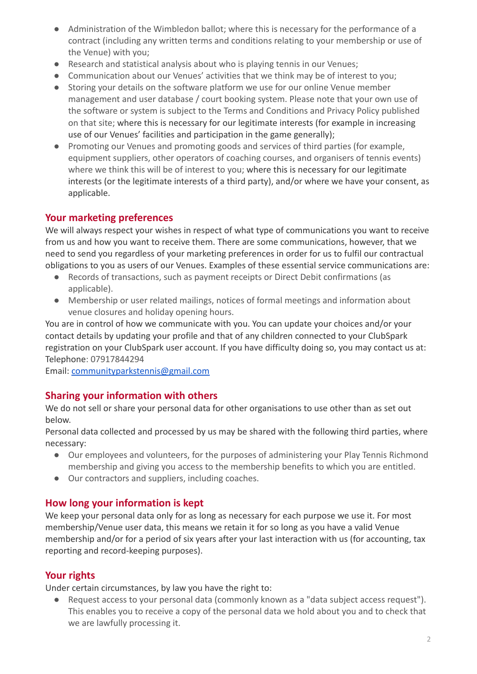- Administration of the Wimbledon ballot; where this is necessary for the performance of a contract (including any written terms and conditions relating to your membership or use of the Venue) with you;
- Research and statistical analysis about who is playing tennis in our Venues;
- Communication about our Venues' activities that we think may be of interest to you;
- Storing your details on the software platform we use for our online Venue member management and user database / court booking system. Please note that your own use of the software or system is subject to the Terms and Conditions and Privacy Policy published on that site; where this is necessary for our legitimate interests (for example in increasing use of our Venues' facilities and participation in the game generally);
- Promoting our Venues and promoting goods and services of third parties (for example, equipment suppliers, other operators of coaching courses, and organisers of tennis events) where we think this will be of interest to you; where this is necessary for our legitimate interests (or the legitimate interests of a third party), and/or where we have your consent, as applicable.

## **Your marketing preferences**

We will always respect your wishes in respect of what type of communications you want to receive from us and how you want to receive them. There are some communications, however, that we need to send you regardless of your marketing preferences in order for us to fulfil our contractual obligations to you as users of our Venues. Examples of these essential service communications are:

- Records of transactions, such as payment receipts or Direct Debit confirmations (as applicable).
- Membership or user related mailings, notices of formal meetings and information about venue closures and holiday opening hours.

You are in control of how we communicate with you. You can update your choices and/or your contact details by updating your profile and that of any children connected to your ClubSpark registration on your ClubSpark user account. If you have difficulty doing so, you may contact us at: Telephone: 07917844294

Email: [communityparkstennis@gmail.com](mailto:communityparkstennis@gmail.com)

## **Sharing your information with others**

We do not sell or share your personal data for other organisations to use other than as set out below.

Personal data collected and processed by us may be shared with the following third parties, where necessary:

- Our employees and volunteers, for the purposes of administering your Play Tennis Richmond membership and giving you access to the membership benefits to which you are entitled.
- Our contractors and suppliers, including coaches.

## **How long your information is kept**

We keep your personal data only for as long as necessary for each purpose we use it. For most membership/Venue user data, this means we retain it for so long as you have a valid Venue membership and/or for a period of six years after your last interaction with us (for accounting, tax reporting and record-keeping purposes).

## **Your rights**

Under certain circumstances, by law you have the right to:

Request access to your personal data (commonly known as a "data subject access request"). This enables you to receive a copy of the personal data we hold about you and to check that we are lawfully processing it.